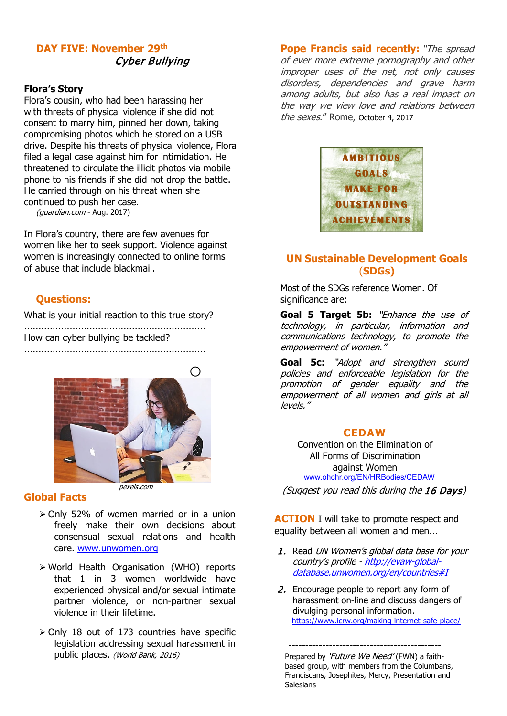## **DAY FIVE: November 29th** Cyber Bullying

#### **Flora's Story**

Flora's cousin, who had been harassing her with threats of physical violence if she did not consent to marry him, pinned her down, taking compromising photos which he stored on a USB drive. Despite his threats of physical violence, Flora filed a legal case against him for intimidation. He threatened to circulate the illicit photos via mobile phone to his friends if she did not drop the battle. He carried through on his threat when she continued to push her case.

(guardian.com - Aug. 2017)

In Flora's country, there are few avenues for women like her to seek support. Violence against women is increasingly connected to online forms of abuse that include blackmail.

### **Questions:**

What is your initial reaction to this true story?

................................................................ How can cyber bullying be tackled? ................................................................



#### **Global Facts**

- Only 52% of women married or in a union freely make their own decisions about consensual sexual relations and health care. [www.unwomen.org](http://www.unwomen.org/)
- World Health Organisation (WHO) reports that 1 in 3 women worldwide have experienced physical and/or sexual intimate partner violence, or non-partner sexual violence in their lifetime.
- $\geq$  Only 18 out of 173 countries have specific legislation addressing sexual harassment in public places. [\(World Bank, 2016\)](http://wbl.worldbank.org/%7E/media/WBG/WBL/Documents/Reports/2016/Women-Business-and-the-Law-2016.pdf)

**Pope Francis said recently:** "The spread of ever more extreme pornography and other improper uses of the net, not only causes disorders, dependencies and grave harm among adults, but also has a real impact on the way we view love and relations between the sexes." Rome, October 4, 2017



## **UN Sustainable Development Goals** (**SDGs)**

Most of the SDGs reference Women. Of significance are:

**Goal 5 Target 5b:** "Enhance the use of technology, in particular, information and communications technology, to promote the empowerment of women."

Goal 5c: "Adopt and strengthen sound policies and enforceable legislation for the promotion of gender equality and the empowerment of all women and girls at all levels."

#### **CEDAW**

[Convention on the Elimination of](http://www.ohchr.org/EN/ProfessionalInterest/Pages/CEDAW.aspx)  [All Forms of Discrimination](http://www.ohchr.org/EN/ProfessionalInterest/Pages/CEDAW.aspx)  [against Women](http://www.ohchr.org/EN/ProfessionalInterest/Pages/CEDAW.aspx) [www.ohchr.org/EN/HRBodies/CEDAW](http://www.ohchr.org/EN/HRBodies/CEDAW)

(Suggest you read this during the 16 Days)

**ACTION** I will take to promote respect and equality between all women and men...

- 1. Read UN Women's global data base for your country's profile - [http://evaw-global](http://evaw-global-database.unwomen.org/en/countries#I)[database.unwomen.org/en/countries#I](http://evaw-global-database.unwomen.org/en/countries#I)
- 2. Encourage people to report any form of harassment on-line and discuss dangers of divulging personal information. <https://www.icrw.org/making-internet-safe-place/>

 --------------------------------------------- Prepared by '*Future We Need'* (FWN) a faith based group, with members from the Columbans, Franciscans, Josephites, Mercy, Presentation and Salesians